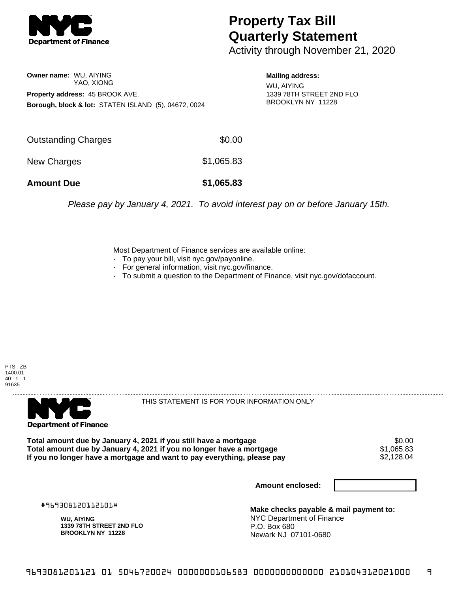

## **Property Tax Bill Quarterly Statement**

Activity through November 21, 2020

**Owner name:** WU, AIYING YAO, XIONG **Property address:** 45 BROOK AVE. **Borough, block & lot:** STATEN ISLAND (5), 04672, 0024 **Mailing address:**

WU, AIYING 1339 78TH STREET 2ND FLO BROOKLYN NY 11228

| <b>Amount Due</b>   | \$1,065.83 |
|---------------------|------------|
| New Charges         | \$1,065.83 |
| Outstanding Charges | \$0.00     |

Please pay by January 4, 2021. To avoid interest pay on or before January 15th.

Most Department of Finance services are available online:

- · To pay your bill, visit nyc.gov/payonline.
- For general information, visit nyc.gov/finance.
- · To submit a question to the Department of Finance, visit nyc.gov/dofaccount.

PTS - ZB 1400.01  $40 - 1 - 1$ 91635



THIS STATEMENT IS FOR YOUR INFORMATION ONLY

Total amount due by January 4, 2021 if you still have a mortgage  $$0.00$ <br>Total amount due by January 4, 2021 if you no longer have a mortgage  $$1,065.83$ **Total amount due by January 4, 2021 if you no longer have a mortgage**  $$1,065.83$ **<br>If you no longer have a mortgage and want to pay everything, please pay**  $$2,128.04$ If you no longer have a mortgage and want to pay everything, please pay

**Amount enclosed:**

#969308120112101#

**WU, AIYING 1339 78TH STREET 2ND FLO BROOKLYN NY 11228**

**Make checks payable & mail payment to:** NYC Department of Finance P.O. Box 680 Newark NJ 07101-0680